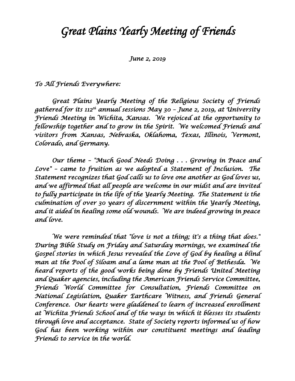## *Great Plains Yearly Meeting of Friends*

*June 2, 2019* 

## *To All Friends Everywhere:*

 *Great Plains Yearly Meeting of the Religious Society of Friends gathered for its 112th annual sessions May 30 – June 2, 2019, at University Friends Meeting in Wichita, Kansas. We rejoiced at the opportunity to fellowship together and to grow in the Spirit. We welcomed Friends and visitors from Kansas, Nebraska, Oklahoma, Texas, Illinois, Vermont, Colorado, and Germany.* 

 *Our theme – "Much Good Needs Doing . . . Growing in Peace and Love" – came to fruition as we adopted a Statement of Inclusion. The Statement recognizes that God calls us to love one another as God loves us, and we affirmed that all people are welcome in our midst and are invited to fully participate in the life of the Yearly Meeting. The Statement is the culmination of over 30 years of discernment within the Yearly Meeting, and it aided in healing some old wounds. We are indeed growing in peace and love.* 

 *We were reminded that "love is not a thing; it's a thing that does." During Bible Study on Friday and Saturday mornings, we examined the Gospel stories in which Jesus revealed the Love of God by healing a blind man at the Pool of Siloam and a lame man at the Pool of Bethesda. We heard reports of the good works being done by Friends United Meeting and Quaker agencies, including the American Friends Service Committee, Friends World Committee for Consultation, Friends Committee on National Legislation, Quaker Earthcare Witness, and Friends General Conference. Our hearts were gladdened to learn of increased enrollment at Wichita Friends School and of the ways in which it blesses its students through love and acceptance. State of Society reports informed us of how God has been working within our constituent meetings and leading Friends to service in the world.*